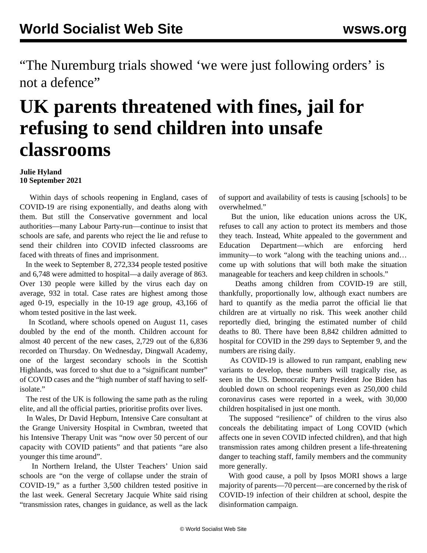"The Nuremburg trials showed 'we were just following orders' is not a defence"

## **UK parents threatened with fines, jail for refusing to send children into unsafe classrooms**

## **Julie Hyland 10 September 2021**

 Within days of schools reopening in England, cases of COVID-19 are rising exponentially, and deaths along with them. But still the Conservative government and local authorities—many Labour Party-run—continue to insist that schools are safe, and parents who reject the lie and refuse to send their children into COVID infected classrooms are faced with threats of fines and imprisonment.

 In the week to September 8, 272,334 people tested positive and 6,748 were admitted to hospital—a daily average of 863. Over 130 people were killed by the virus each day on average, 932 in total. Case rates are highest among those aged 0-19, especially in the 10-19 age group, 43,166 of whom tested positive in the last week.

 In Scotland, where schools opened on August 11, cases doubled by the end of the month. Children account for almost 40 percent of the new cases, 2,729 out of the 6,836 recorded on Thursday. On Wednesday, Dingwall Academy, one of the largest secondary schools in the Scottish Highlands, was forced to shut due to a "significant number" of COVID cases and the "high number of staff having to selfisolate."

 The rest of the UK is following the same path as the ruling elite, and all the official parties, prioritise profits over lives.

 In Wales, Dr David Hepburn, Intensive Care consultant at the Grange University Hospital in Cwmbran, tweeted that his Intensive Therapy Unit was "now over 50 percent of our capacity with COVID patients" and that patients "are also younger this time around".

 In Northern Ireland, the Ulster Teachers' Union said schools are "on the verge of collapse under the strain of COVID-19," as a further 3,500 children tested positive in the last week. General Secretary Jacquie White said rising "transmission rates, changes in guidance, as well as the lack of support and availability of tests is causing [schools] to be overwhelmed."

 But the union, like education unions across the UK, refuses to call any action to protect its members and those they teach. Instead, White appealed to the government and Education Department—which are enforcing herd immunity—to work "along with the teaching unions and… come up with solutions that will both make the situation manageable for teachers and keep children in schools."

 Deaths among children from COVID-19 are still, thankfully, proportionally low, although exact numbers are hard to quantify as the media parrot the official lie that children are at virtually no risk. This week another child reportedly died, bringing the estimated number of child deaths to 80. There have been 8,842 children admitted to hospital for COVID in the 299 days to September 9, and the numbers are rising daily.

 As COVID-19 is allowed to run rampant, enabling new variants to develop, these numbers will tragically rise, as seen in the US. Democratic Party President Joe Biden has doubled down on school reopenings even as [250,000 child](/en/articles/2021/09/10/bide-s10.html) [coronavirus cases](/en/articles/2021/09/10/bide-s10.html) were reported in a week, with 30,000 children hospitalised in just one month.

 The supposed "resilience" of children to the virus also conceals the debilitating impact of Long COVID (which affects one in seven COVID infected children), and that high transmission rates among children present a life-threatening danger to teaching staff, family members and the community more generally.

 With good cause, a poll by Ipsos MORI shows a large majority of parents—70 percent—are concerned by the risk of COVID-19 infection of their children at school, despite the disinformation campaign.